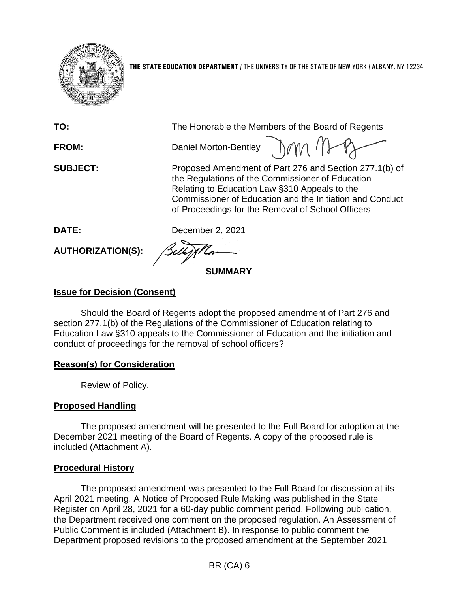

**THE STATE EDUCATION DEPARTMENT** / THE UNIVERSITY OF THE STATE OF NEW YORK / ALBANY, NY 12234

| TO:               | The Honorable the Members of the Board of Regents                                                                                                                                                                                                                            |
|-------------------|------------------------------------------------------------------------------------------------------------------------------------------------------------------------------------------------------------------------------------------------------------------------------|
| <b>FROM:</b>      | Daniel Morton-Bentley 10M (                                                                                                                                                                                                                                                  |
| <b>SUBJECT:</b>   | Proposed Amendment of Part 276 and Section 277.1(b) of<br>the Regulations of the Commissioner of Education<br>Relating to Education Law §310 Appeals to the<br>Commissioner of Education and the Initiation and Conduct<br>of Proceedings for the Removal of School Officers |
| <b>DATE:</b>      | December 2, 2021                                                                                                                                                                                                                                                             |
| AUTHORIZATION(S): | <b>Belly flor</b>                                                                                                                                                                                                                                                            |
|                   |                                                                                                                                                                                                                                                                              |

## **Issue for Decision (Consent)**

Should the Board of Regents adopt the proposed amendment of Part 276 and section 277.1(b) of the Regulations of the Commissioner of Education relating to Education Law §310 appeals to the Commissioner of Education and the initiation and conduct of proceedings for the removal of school officers?

### **Reason(s) for Consideration**

Review of Policy.

## **Proposed Handling**

The proposed amendment will be presented to the Full Board for adoption at the December 2021 meeting of the Board of Regents. A copy of the proposed rule is included (Attachment A).

### **Procedural History**

The proposed amendment was presented to the Full Board for discussion at its April 2021 meeting. A Notice of Proposed Rule Making was published in the State Register on April 28, 2021 for a 60-day public comment period. Following publication, the Department received one comment on the proposed regulation. An Assessment of Public Comment is included (Attachment B). In response to public comment the Department proposed revisions to the proposed amendment at the September 2021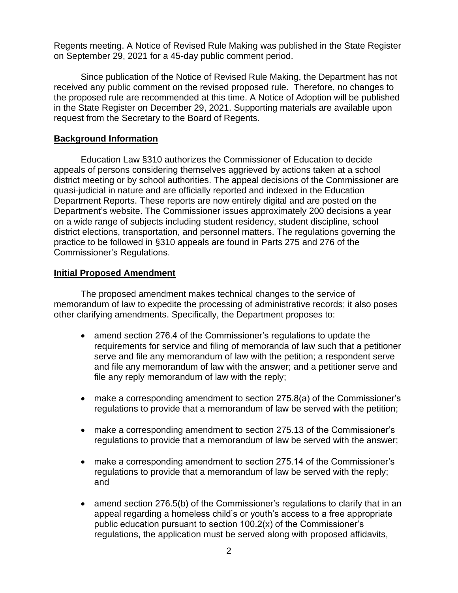Regents meeting. A Notice of Revised Rule Making was published in the State Register on September 29, 2021 for a 45-day public comment period.

Since publication of the Notice of Revised Rule Making, the Department has not received any public comment on the revised proposed rule. Therefore, no changes to the proposed rule are recommended at this time. A Notice of Adoption will be published in the State Register on December 29, 2021. Supporting materials are available upon request from the Secretary to the Board of Regents.

#### **Background Information**

Education Law §310 authorizes the Commissioner of Education to decide appeals of persons considering themselves aggrieved by actions taken at a school district meeting or by school authorities. The appeal decisions of the Commissioner are quasi-judicial in nature and are officially reported and indexed in the Education Department Reports. These reports are now entirely digital and are posted on the Department's website. The Commissioner issues approximately 200 decisions a year on a wide range of subjects including student residency, student discipline, school district elections, transportation, and personnel matters. The regulations governing the practice to be followed in §310 appeals are found in Parts 275 and 276 of the Commissioner's Regulations.

#### **Initial Proposed Amendment**

The proposed amendment makes technical changes to the service of memorandum of law to expedite the processing of administrative records; it also poses other clarifying amendments. Specifically, the Department proposes to:

- amend section 276.4 of the Commissioner's regulations to update the requirements for service and filing of memoranda of law such that a petitioner serve and file any memorandum of law with the petition; a respondent serve and file any memorandum of law with the answer; and a petitioner serve and file any reply memorandum of law with the reply;
- make a corresponding amendment to section 275.8(a) of the Commissioner's regulations to provide that a memorandum of law be served with the petition;
- make a corresponding amendment to section 275.13 of the Commissioner's regulations to provide that a memorandum of law be served with the answer;
- make a corresponding amendment to section 275.14 of the Commissioner's regulations to provide that a memorandum of law be served with the reply; and
- amend section 276.5(b) of the Commissioner's regulations to clarify that in an appeal regarding a homeless child's or youth's access to a free appropriate public education pursuant to section 100.2(x) of the Commissioner's regulations, the application must be served along with proposed affidavits,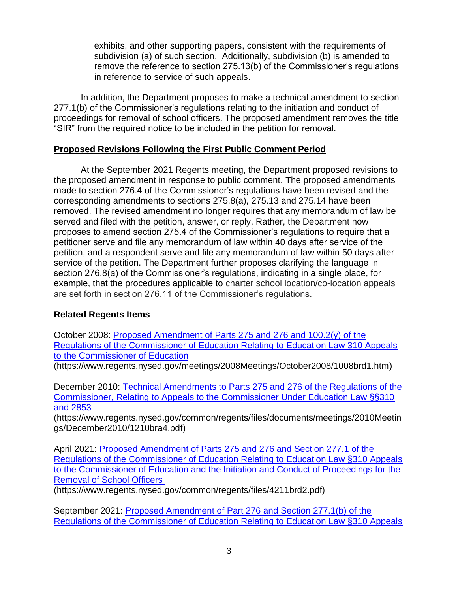exhibits, and other supporting papers, consistent with the requirements of subdivision (a) of such section. Additionally, subdivision (b) is amended to remove the reference to section 275.13(b) of the Commissioner's regulations in reference to service of such appeals.

In addition, the Department proposes to make a technical amendment to section 277.1(b) of the Commissioner's regulations relating to the initiation and conduct of proceedings for removal of school officers. The proposed amendment removes the title "SIR" from the required notice to be included in the petition for removal.

### **Proposed Revisions Following the First Public Comment Period**

At the September 2021 Regents meeting, the Department proposed revisions to the proposed amendment in response to public comment. The proposed amendments made to section 276.4 of the Commissioner's regulations have been revised and the corresponding amendments to sections 275.8(a), 275.13 and 275.14 have been removed. The revised amendment no longer requires that any memorandum of law be served and filed with the petition, answer, or reply. Rather, the Department now proposes to amend section 275.4 of the Commissioner's regulations to require that a petitioner serve and file any memorandum of law within 40 days after service of the petition, and a respondent serve and file any memorandum of law within 50 days after service of the petition. The Department further proposes clarifying the language in section 276.8(a) of the Commissioner's regulations, indicating in a single place, for example, that the procedures applicable to charter school location/co-location appeals are set forth in section 276.11 of the Commissioner's regulations.

## **Related Regents Items**

October 2008: [Proposed Amendment of Parts 275 and 276 and 100.2\(y\) of the](https://www.regents.nysed.gov/meetings/2008Meetings/October2008/1008brd1.htm)  [Regulations of the Commissioner of Education Relating to Education Law 310 Appeals](https://www.regents.nysed.gov/meetings/2008Meetings/October2008/1008brd1.htm)  [to the Commissioner of](https://www.regents.nysed.gov/meetings/2008Meetings/October2008/1008brd1.htm) Education

(https://www.regents.nysed.gov/meetings/2008Meetings/October2008/1008brd1.htm)

December 2010: [Technical Amendments to Parts 275 and 276 of the Regulations of the](https://www.regents.nysed.gov/common/regents/files/documents/meetings/2010Meetings/December2010/1210bra4.pdf)  [Commissioner, Relating to Appeals to the Commissioner Under Education Law §§310](https://www.regents.nysed.gov/common/regents/files/documents/meetings/2010Meetings/December2010/1210bra4.pdf)  [and 2853](https://www.regents.nysed.gov/common/regents/files/documents/meetings/2010Meetings/December2010/1210bra4.pdf)

(https://www.regents.nysed.gov/common/regents/files/documents/meetings/2010Meetin gs/December2010/1210bra4.pdf)

April 2021: [Proposed Amendment of Parts 275 and 276 and Section 277.1 of the](https://www.regents.nysed.gov/common/regents/files/4211brd2.pdf)  [Regulations of the Commissioner of Education Relating to Education Law §310 Appeals](https://www.regents.nysed.gov/common/regents/files/4211brd2.pdf)  [to the Commissioner of Education and the Initiation and Conduct of Proceedings for the](https://www.regents.nysed.gov/common/regents/files/4211brd2.pdf)  [Removal of School Officers](https://www.regents.nysed.gov/common/regents/files/4211brd2.pdf)

(https://www.regents.nysed.gov/common/regents/files/4211brd2.pdf)

September 2021: [Proposed Amendment of Part 276 and Section 277.1\(b\) of the](https://www.regents.nysed.gov/common/regents/files/921brd1.pdf)  [Regulations of the Commissioner of Education Relating to Education Law §310 Appeals](https://www.regents.nysed.gov/common/regents/files/921brd1.pdf)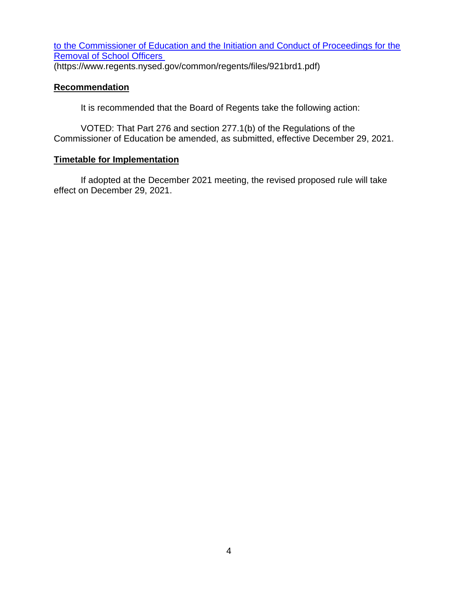[to the Commissioner of Education and the Initiation and Conduct of Proceedings for the](https://www.regents.nysed.gov/common/regents/files/921brd1.pdf)  [Removal of School Officers](https://www.regents.nysed.gov/common/regents/files/921brd1.pdf)

(https://www.regents.nysed.gov/common/regents/files/921brd1.pdf)

## **Recommendation**

It is recommended that the Board of Regents take the following action:

VOTED: That Part 276 and section 277.1(b) of the Regulations of the Commissioner of Education be amended, as submitted, effective December 29, 2021.

# **Timetable for Implementation**

If adopted at the December 2021 meeting, the revised proposed rule will take effect on December 29, 2021.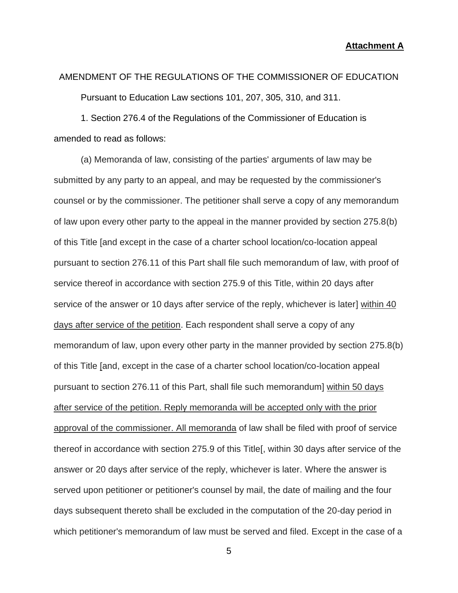#### **Attachment A**

# AMENDMENT OF THE REGULATIONS OF THE COMMISSIONER OF EDUCATION

Pursuant to Education Law sections 101, 207, 305, 310, and 311.

1. Section 276.4 of the Regulations of the Commissioner of Education is amended to read as follows:

(a) Memoranda of law, consisting of the parties' arguments of law may be submitted by any party to an appeal, and may be requested by the commissioner's counsel or by the commissioner. The petitioner shall serve a copy of any memorandum of law upon every other party to the appeal in the manner provided by section 275.8(b) of this Title [and except in the case of a charter school location/co-location appeal pursuant to section 276.11 of this Part shall file such memorandum of law, with proof of service thereof in accordance with section 275.9 of this Title, within 20 days after service of the answer or 10 days after service of the reply, whichever is later] within 40 days after service of the petition. Each respondent shall serve a copy of any memorandum of law, upon every other party in the manner provided by section 275.8(b) of this Title [and, except in the case of a charter school location/co-location appeal pursuant to section 276.11 of this Part, shall file such memorandum] within 50 days after service of the petition. Reply memoranda will be accepted only with the prior approval of the commissioner. All memoranda of law shall be filed with proof of service thereof in accordance with section 275.9 of this Title[, within 30 days after service of the answer or 20 days after service of the reply, whichever is later. Where the answer is served upon petitioner or petitioner's counsel by mail, the date of mailing and the four days subsequent thereto shall be excluded in the computation of the 20-day period in which petitioner's memorandum of law must be served and filed. Except in the case of a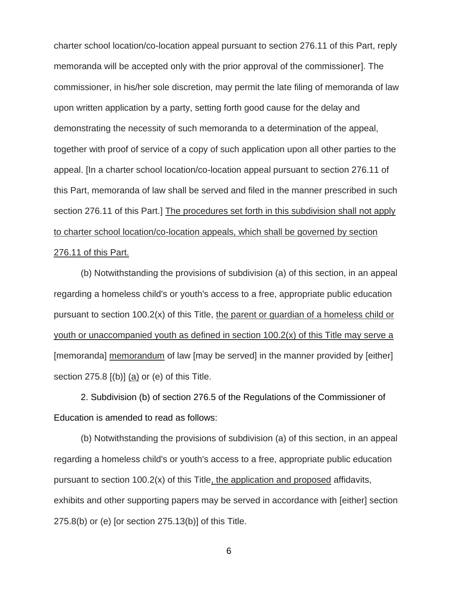charter school location/co-location appeal pursuant to section 276.11 of this Part, reply memoranda will be accepted only with the prior approval of the commissioner]. The commissioner, in his/her sole discretion, may permit the late filing of memoranda of law upon written application by a party, setting forth good cause for the delay and demonstrating the necessity of such memoranda to a determination of the appeal, together with proof of service of a copy of such application upon all other parties to the appeal. [In a charter school location/co-location appeal pursuant to section 276.11 of this Part, memoranda of law shall be served and filed in the manner prescribed in such section 276.11 of this Part.] The procedures set forth in this subdivision shall not apply to charter school location/co-location appeals, which shall be governed by section 276.11 of this Part.

(b) Notwithstanding the provisions of subdivision (a) of this section, in an appeal regarding a homeless child's or youth's access to a free, appropriate public education pursuant to section 100.2(x) of this Title, the parent or guardian of a homeless child or youth or unaccompanied youth as defined in section 100.2(x) of this Title may serve a [memoranda] memorandum of law [may be served] in the manner provided by [either] section 275.8 [(b)] (a) or (e) of this Title.

2. Subdivision (b) of section 276.5 of the Regulations of the Commissioner of Education is amended to read as follows:

(b) Notwithstanding the provisions of subdivision (a) of this section, in an appeal regarding a homeless child's or youth's access to a free, appropriate public education pursuant to section 100.2(x) of this Title, the application and proposed affidavits, exhibits and other supporting papers may be served in accordance with [either] section 275.8(b) or (e) [or section 275.13(b)] of this Title.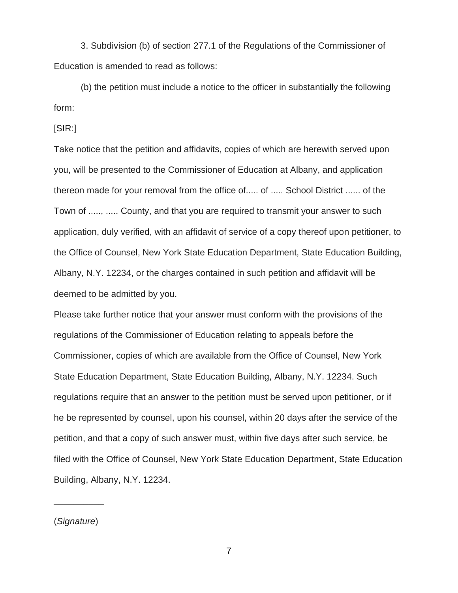3. Subdivision (b) of section 277.1 of the Regulations of the Commissioner of Education is amended to read as follows:

(b) the petition must include a notice to the officer in substantially the following form:

[SIR:]

Take notice that the petition and affidavits, copies of which are herewith served upon you, will be presented to the Commissioner of Education at Albany, and application thereon made for your removal from the office of..... of ..... School District ...... of the Town of ....., ..... County, and that you are required to transmit your answer to such application, duly verified, with an affidavit of service of a copy thereof upon petitioner, to the Office of Counsel, New York State Education Department, State Education Building, Albany, N.Y. 12234, or the charges contained in such petition and affidavit will be deemed to be admitted by you.

Please take further notice that your answer must conform with the provisions of the regulations of the Commissioner of Education relating to appeals before the Commissioner, copies of which are available from the Office of Counsel, New York State Education Department, State Education Building, Albany, N.Y. 12234. Such regulations require that an answer to the petition must be served upon petitioner, or if he be represented by counsel, upon his counsel, within 20 days after the service of the petition, and that a copy of such answer must, within five days after such service, be filed with the Office of Counsel, New York State Education Department, State Education Building, Albany, N.Y. 12234.

(*Signature*)

 $\overline{\phantom{a}}$  ,  $\overline{\phantom{a}}$  ,  $\overline{\phantom{a}}$  ,  $\overline{\phantom{a}}$  ,  $\overline{\phantom{a}}$  ,  $\overline{\phantom{a}}$  ,  $\overline{\phantom{a}}$  ,  $\overline{\phantom{a}}$  ,  $\overline{\phantom{a}}$  ,  $\overline{\phantom{a}}$  ,  $\overline{\phantom{a}}$  ,  $\overline{\phantom{a}}$  ,  $\overline{\phantom{a}}$  ,  $\overline{\phantom{a}}$  ,  $\overline{\phantom{a}}$  ,  $\overline{\phantom{a}}$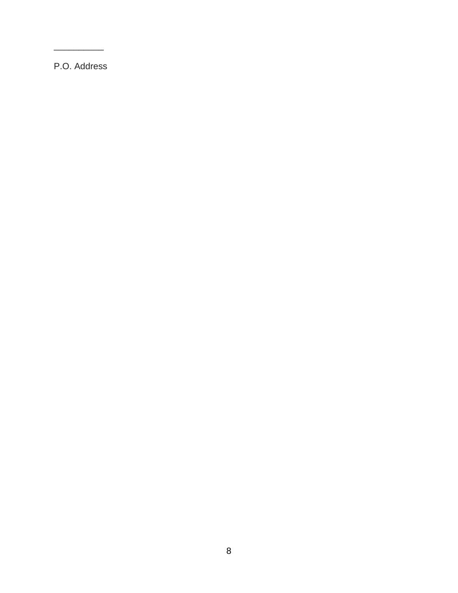P.O. Address

\_\_\_\_\_\_\_\_\_\_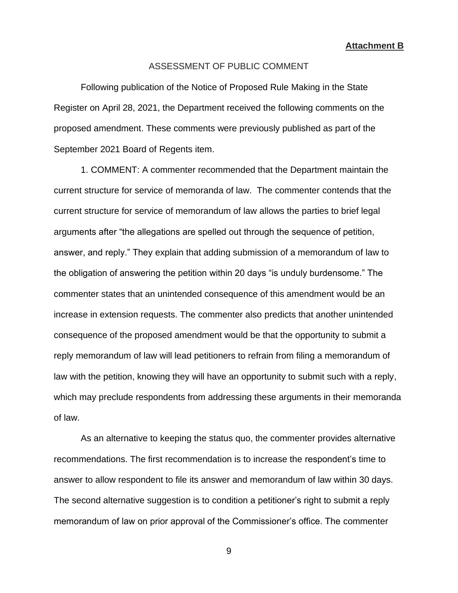**Attachment B**

#### ASSESSMENT OF PUBLIC COMMENT

Following publication of the Notice of Proposed Rule Making in the State Register on April 28, 2021, the Department received the following comments on the proposed amendment. These comments were previously published as part of the September 2021 Board of Regents item.

1. COMMENT: A commenter recommended that the Department maintain the current structure for service of memoranda of law. The commenter contends that the current structure for service of memorandum of law allows the parties to brief legal arguments after "the allegations are spelled out through the sequence of petition, answer, and reply." They explain that adding submission of a memorandum of law to the obligation of answering the petition within 20 days "is unduly burdensome." The commenter states that an unintended consequence of this amendment would be an increase in extension requests. The commenter also predicts that another unintended consequence of the proposed amendment would be that the opportunity to submit a reply memorandum of law will lead petitioners to refrain from filing a memorandum of law with the petition, knowing they will have an opportunity to submit such with a reply, which may preclude respondents from addressing these arguments in their memoranda of law.

As an alternative to keeping the status quo, the commenter provides alternative recommendations. The first recommendation is to increase the respondent's time to answer to allow respondent to file its answer and memorandum of law within 30 days. The second alternative suggestion is to condition a petitioner's right to submit a reply memorandum of law on prior approval of the Commissioner's office. The commenter